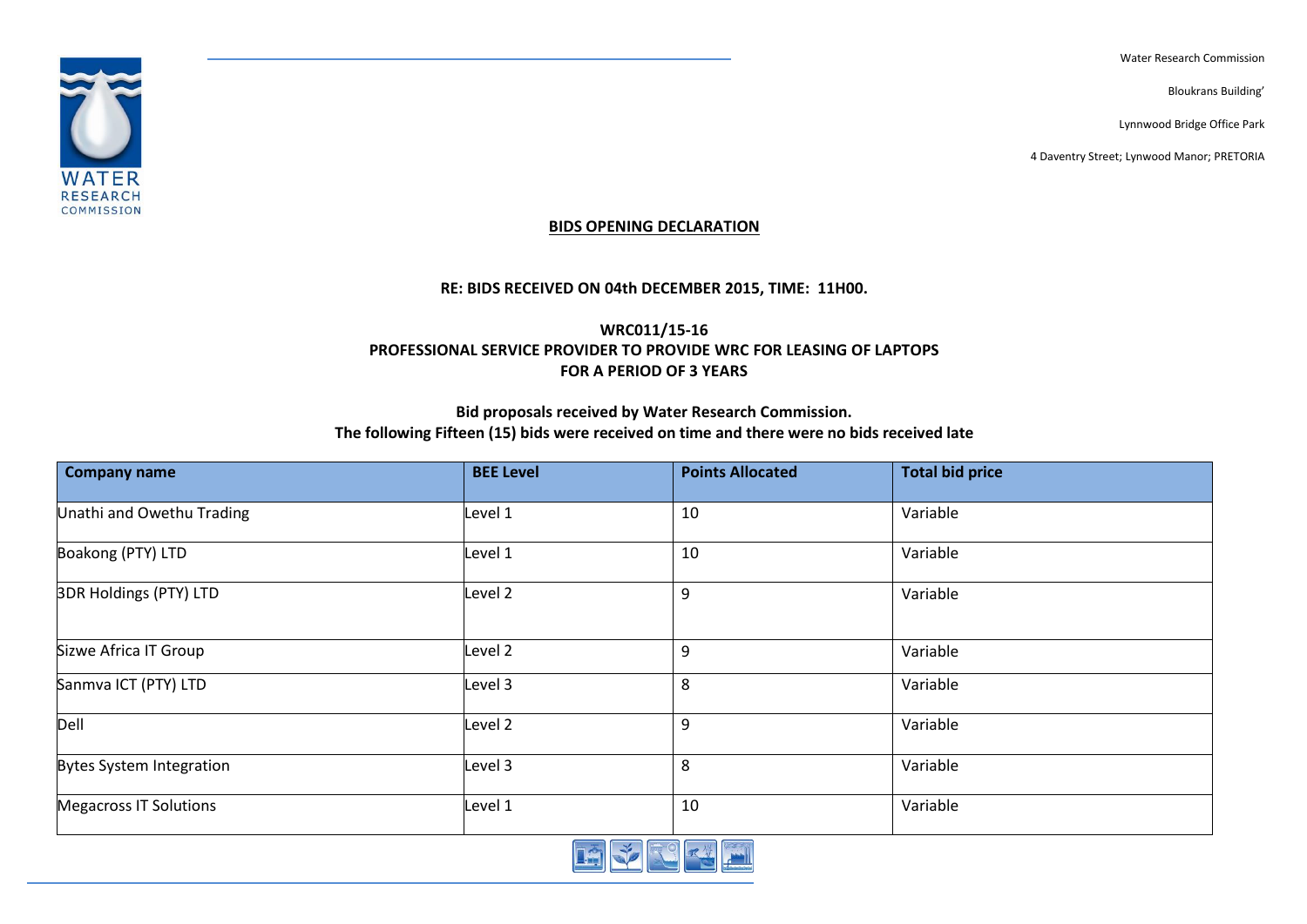Water Research Commission

Bloukrans Building'

Lynnwood Bridge Office Park

4 Daventry Street; Lynwood Manor; PRETORIA



#### **BIDS OPENING DECLARATION**

### **RE: BIDS RECEIVED ON 04th DECEMBER 2015, TIME: 11H00.**

## **WRC011/15-16 PROFESSIONAL SERVICE PROVIDER TO PROVIDE WRC FOR LEASING OF LAPTOPS FOR A PERIOD OF 3 YEARS**

### **Bid proposals received by Water Research Commission. The following Fifteen (15) bids were received on time and there were no bids received late**

| <b>Company name</b>             | <b>BEE Level</b>   | <b>Points Allocated</b> | <b>Total bid price</b> |
|---------------------------------|--------------------|-------------------------|------------------------|
| Unathi and Owethu Trading       | Level 1            | 10                      | Variable               |
| Boakong (PTY) LTD               | Level 1            | 10                      | Variable               |
| <b>3DR Holdings (PTY) LTD</b>   | Level 2            | 9                       | Variable               |
| Sizwe Africa IT Group           | Level 2            | 9                       | Variable               |
| Sanmva ICT (PTY) LTD            | Level 3            | 8                       | Variable               |
| Dell                            | Level <sub>2</sub> | 9                       | Variable               |
| <b>Bytes System Integration</b> | Level 3            | 8                       | Variable               |
| <b>Megacross IT Solutions</b>   | Level 1            | 10                      | Variable               |